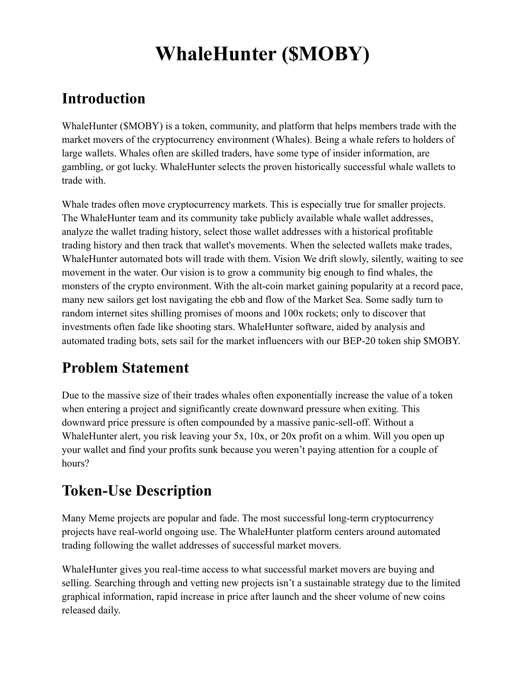## **Introduction**

WhaleHunter (\$MOBY) is a token, community, and platform that helps members trade with the market movers of the cryptocurrency environment (Whales). Being a whale refers to holders of large wallets. Whales often are skilled traders, have some type of insider information, are gambling, or got lucky. WhaleHunter selects the proven historically successful whale wallets to trade with.

Whale trades often move cryptocurrency markets. This is especially true for smaller projects. The WhaleHunter team and its community take publicly available whale wallet addresses, analyze the wallet trading history, select those wallet addresses with a historical profitable trading history and then track that wallet's movements. When the selected wallets make trades, WhaleHunter automated bots will trade with them. Vision We drift slowly, silently, waiting to see movement in the water. Our vision is to grow a community big enough to find whales, the monsters of the crypto environment. With the alt-coin market gaining popularity at a record pace, many new sailors get lost navigating the ebb and flow of the Market Sea. Some sadly turn to random internet sites shilling promises of moons and 100x rockets; only to discover that investments often fade like shooting stars. WhaleHunter software, aided by analysis and automated trading bots, sets sail for the market influencers with our BEP-20 token ship \$MOBY.

## **Problem Statement**

Due to the massive size of their trades whales often exponentially increase the value of a token when entering a project and significantly create downward pressure when exiting. This downward price pressure is often compounded by a massive panic-sell-off. Without a WhaleHunter alert, you risk leaving your 5x, 10x, or 20x profit on a whim. Will you open up your wallet and find your profits sunk because you weren't paying attention for a couple of hours?

## **Token-Use Description**

Many Meme projects are popular and fade. The most successful long-term cryptocurrency projects have real-world ongoing use. The WhaleHunter platform centers around automated trading following the wallet addresses of successful market movers.

WhaleHunter gives you real-time access to what successful market movers are buying and selling. Searching through and vetting new projects isn't a sustainable strategy due to the limited graphical information, rapid increase in price after launch and the sheer volume of new coins released daily.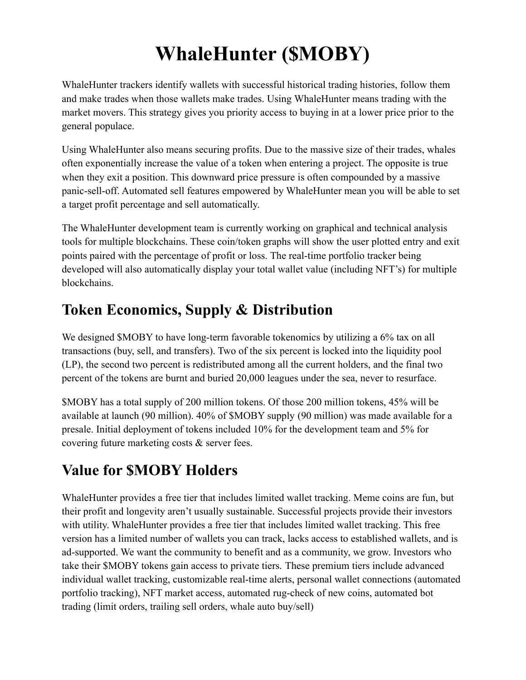WhaleHunter trackers identify wallets with successful historical trading histories, follow them and make trades when those wallets make trades. Using WhaleHunter means trading with the market movers. This strategy gives you priority access to buying in at a lower price prior to the general populace.

Using WhaleHunter also means securing profits. Due to the massive size of their trades, whales often exponentially increase the value of a token when entering a project. The opposite is true when they exit a position. This downward price pressure is often compounded by a massive panic-sell-off. Automated sell features empowered by WhaleHunter mean you will be able to set a target profit percentage and sell automatically.

The WhaleHunter development team is currently working on graphical and technical analysis tools for multiple blockchains. These coin/token graphs will show the user plotted entry and exit points paired with the percentage of profit or loss. The real-time portfolio tracker being developed will also automatically display your total wallet value (including NFT's) for multiple blockchains.

## **Token Economics, Supply & Distribution**

We designed \$MOBY to have long-term favorable tokenomics by utilizing a 6% tax on all transactions (buy, sell, and transfers). Two of the six percent is locked into the liquidity pool (LP), the second two percent is redistributed among all the current holders, and the final two percent of the tokens are burnt and buried 20,000 leagues under the sea, never to resurface.

\$MOBY has a total supply of 200 million tokens. Of those 200 million tokens, 45% will be available at launch (90 million). 40% of \$MOBY supply (90 million) was made available for a presale. Initial deployment of tokens included 10% for the development team and 5% for covering future marketing costs & server fees.

## **Value for \$MOBY Holders**

WhaleHunter provides a free tier that includes limited wallet tracking. Meme coins are fun, but their profit and longevity aren't usually sustainable. Successful projects provide their investors with utility. WhaleHunter provides a free tier that includes limited wallet tracking. This free version has a limited number of wallets you can track, lacks access to established wallets, and is ad-supported. We want the community to benefit and as a community, we grow. Investors who take their \$MOBY tokens gain access to private tiers. These premium tiers include advanced individual wallet tracking, customizable real-time alerts, personal wallet connections (automated portfolio tracking), NFT market access, automated rug-check of new coins, automated bot trading (limit orders, trailing sell orders, whale auto buy/sell)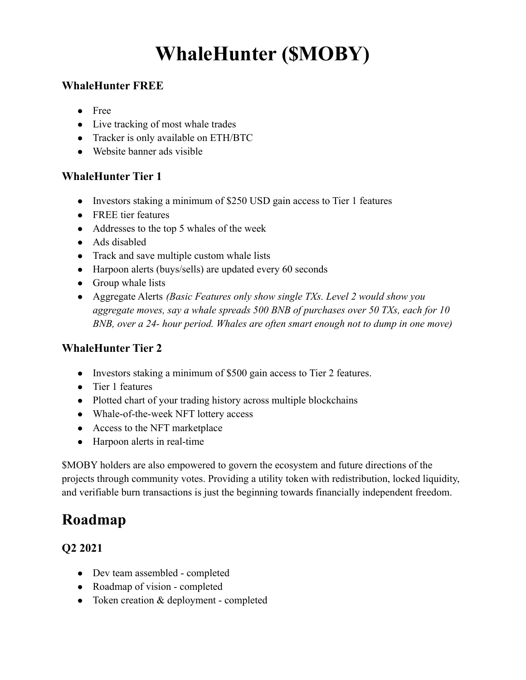#### **WhaleHunter FREE**

- Free
- Live tracking of most whale trades
- Tracker is only available on ETH/BTC
- Website banner ads visible

#### **WhaleHunter Tier 1**

- Investors staking a minimum of \$250 USD gain access to Tier 1 features
- FREE tier features
- Addresses to the top 5 whales of the week
- Ads disabled
- Track and save multiple custom whale lists
- Harpoon alerts (buys/sells) are updated every 60 seconds
- Group whale lists
- Aggregate Alerts *(Basic Features only show single TXs. Level 2 would show you aggregate moves, say a whale spreads 500 BNB of purchases over 50 TXs, each for 10 BNB, over a 24- hour period. Whales are often smart enough not to dump in one move)*

### **WhaleHunter Tier 2**

- Investors staking a minimum of \$500 gain access to Tier 2 features.
- Tier 1 features
- Plotted chart of your trading history across multiple blockchains
- Whale-of-the-week NFT lottery access
- Access to the NFT marketplace
- Harpoon alerts in real-time

\$MOBY holders are also empowered to govern the ecosystem and future directions of the projects through community votes. Providing a utility token with redistribution, locked liquidity, and verifiable burn transactions is just the beginning towards financially independent freedom.

## **Roadmap**

### **Q2 2021**

- Dev team assembled completed
- Roadmap of vision completed
- Token creation & deployment completed